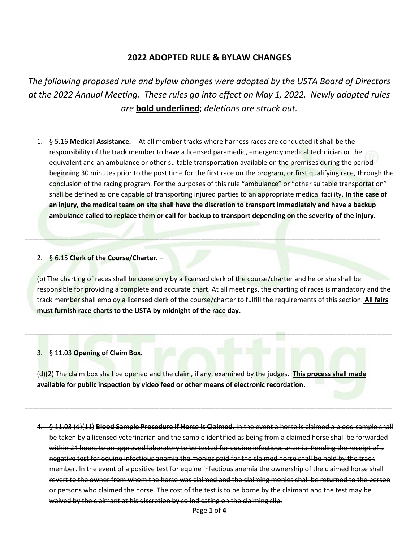# **2022 ADOPTED RULE & BYLAW CHANGES**

*The following proposed rule and bylaw changes were adopted by the USTA Board of Directors at the 2022 Annual Meeting. These rules go into effect on May 1, 2022. Newly adopted rules are* **bold underlined**; *deletions are struck out.*

1. § 5.16 **Medical Assistance.** - At all member tracks where harness races are conducted it shall be the responsibility of the track member to have a licensed paramedic, emergency medical technician or the equivalent and an ambulance or other suitable transportation available on the premises during the period beginning 30 minutes prior to the post time for the first race on the program, or first qualifying race, through the conclusion of the racing program. For the purposes of this rule "ambulance" or "other suitable transportation" shall be defined as one capable of transporting injured parties to an appropriate medical facility. **In the case of an injury, the medical team on site shall have the discretion to transport immediately and have a backup ambulance called to replace them or call for backup to transport depending on the severity of the injury.**

### 2. § 6.15 **Clerk of the Course/Charter. –**

(b) The charting of races shall be done only by a licensed clerk of the course/charter and he or she shall be responsible for providing a complete and accurate chart. At all meetings, the charting of races is mandatory and the track member shall employ a licensed clerk of the course/charter to fulfill the requirements of this section. **All fairs must furnish race charts to the USTA by midnight of the race day.**

**\_\_\_\_\_\_\_\_\_\_\_\_\_\_\_\_\_\_\_\_\_\_\_\_\_\_\_\_\_\_\_\_\_\_\_\_\_\_\_\_\_\_\_\_\_\_\_\_\_\_\_\_\_\_\_\_\_\_\_\_\_\_\_\_\_\_\_\_\_\_\_\_\_\_\_\_\_\_\_\_\_\_\_\_\_\_\_\_\_\_\_\_\_\_\_\_\_\_**

**\_\_\_\_\_\_\_\_\_\_\_\_\_\_\_\_\_\_\_\_\_\_\_\_\_\_\_\_\_\_\_\_\_\_\_\_\_\_\_\_\_\_\_\_\_\_\_\_\_\_\_\_\_\_\_\_\_\_\_\_\_\_\_\_\_\_\_\_\_\_\_\_\_\_\_\_\_\_\_\_\_\_\_\_\_\_\_\_\_\_\_\_\_\_\_**

### 3. § 11.03 **Opening of Claim Box.** –

(d)(2) The claim box shall be opened and the claim, if any, examined by the judges. **This process shall made available for public inspection by video feed or other means of electronic recordation.** 

**\_\_\_\_\_\_\_\_\_\_\_\_\_\_\_\_\_\_\_\_\_\_\_\_\_\_\_\_\_\_\_\_\_\_\_\_\_\_\_\_\_\_\_\_\_\_\_\_\_\_\_\_\_\_\_\_\_\_\_\_\_\_\_\_\_\_\_\_\_\_\_\_\_\_\_\_\_\_\_\_\_\_\_\_\_\_\_\_\_\_\_\_\_\_\_\_\_\_**

4. § 11.03 (d)(11) **Blood Sample Procedure if Horse is Claimed.** In the event a horse is claimed a blood sample shall be taken by a licensed veterinarian and the sample identified as being from a claimed horse shall be forwarded within 24 hours to an approved laboratory to be tested for equine infectious anemia. Pending the receipt of a negative test for equine infectious anemia the monies paid for the claimed horse shall be held by the track member. In the event of a positive test for equine infectious anemia the ownership of the claimed horse shall revert to the owner from whom the horse was claimed and the claiming monies shall be returned to the person or persons who claimed the horse. The cost of the test is to be borne by the claimant and the test may be waived by the claimant at his discretion by so indicating on the claiming slip.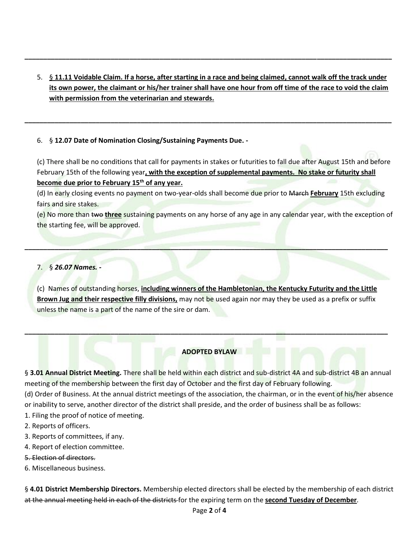5. § **11.11 Voidable Claim. If a horse, after starting in a race and being claimed, cannot walk off the track under its own power, the claimant or his/her trainer shall have one hour from off time of the race to void the claim with permission from the veterinarian and stewards.**

**\_\_\_\_\_\_\_\_\_\_\_\_\_\_\_\_\_\_\_\_\_\_\_\_\_\_\_\_\_\_\_\_\_\_\_\_\_\_\_\_\_\_\_\_\_\_\_\_\_\_\_\_\_\_\_\_\_\_\_\_\_\_\_\_\_\_\_\_\_\_\_\_\_\_\_\_\_\_\_\_\_\_\_\_\_\_\_\_\_\_\_\_\_\_\_\_\_\_**

**\_\_\_\_\_\_\_\_\_\_\_\_\_\_\_\_\_\_\_\_\_\_\_\_\_\_\_\_\_\_\_\_\_\_\_\_\_\_\_\_\_\_\_\_\_\_\_\_\_\_\_\_\_\_\_\_\_\_\_\_\_\_\_\_\_\_\_\_\_\_\_\_\_\_\_\_\_\_\_\_\_\_\_\_\_\_\_\_\_\_\_\_\_\_\_\_\_\_**

### 6. § **12.07 Date of Nomination Closing/Sustaining Payments Due. -**

(c) There shall be no conditions that call for payments in stakes or futurities to fall due after August 15th and before February 15th of the following year**, with the exception of supplemental payments. No stake or futurity shall become due prior to February 15th of any year.** 

(d) In early closing events no payment on two-year-olds shall become due prior to March **February** 15th excluding fairs and sire stakes.

(e) No more than two **three** sustaining payments on any horse of any age in any calendar year, with the exception of the starting fee, will be approved.

## 7. § *26.07 Names. -*

(c) Names of outstanding horses, **including winners of the Hambletonian, the Kentucky Futurity and the Little Brown Jug and their respective filly divisions,** may not be used again nor may they be used as a prefix or suffix unless the name is a part of the name of the sire or dam.

**\_\_\_\_\_\_\_\_\_\_\_\_\_\_\_\_\_\_\_\_\_\_\_\_\_\_\_\_\_\_\_\_\_\_\_\_\_\_\_\_\_\_\_\_\_\_\_\_\_\_\_\_\_\_\_\_\_\_\_\_\_\_\_\_\_\_\_\_\_\_\_\_\_\_\_\_\_\_\_\_\_\_\_\_\_\_\_\_\_\_\_\_\_\_\_\_\_**

### **ADOPTED BYLAW**

**\_\_\_\_\_\_\_\_\_\_\_\_\_\_\_\_\_\_\_\_\_\_\_\_\_\_\_\_\_\_\_\_\_\_\_\_\_\_\_\_\_\_\_\_\_\_\_\_\_\_\_\_\_\_\_\_\_\_\_\_\_\_\_\_\_\_\_\_\_\_\_\_\_\_\_\_\_\_\_\_\_\_\_\_\_\_\_\_\_\_\_\_\_\_\_\_\_**

§ **3.01 Annual District Meeting.** There shall be held within each district and sub-district 4A and sub-district 4B an annual meeting of the membership between the first day of October and the first day of February following.

(d) Order of Business. At the annual district meetings of the association, the chairman, or in the event of his/her absence or inability to serve, another director of the district shall preside, and the order of business shall be as follows:

- 1. Filing the proof of notice of meeting.
- 2. Reports of officers.
- 3. Reports of committees, if any.
- 4. Report of election committee.
- 5. Election of directors.
- 6. Miscellaneous business.

§ **4.01 District Membership Directors.** Membership elected directors shall be elected by the membership of each district at the annual meeting held in each of the districts for the expiring term on the **second Tuesday of December**.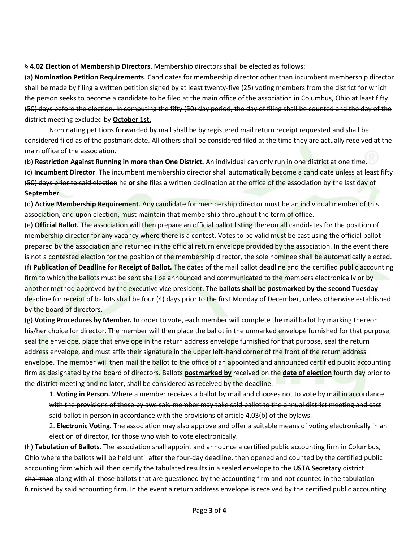§ **4.02 Election of Membership Directors.** Membership directors shall be elected as follows:

(a) **Nomination Petition Requirements**. Candidates for membership director other than incumbent membership director shall be made by filing a written petition signed by at least twenty-five (25) voting members from the district for which the person seeks to become a candidate to be filed at the main office of the association in Columbus, Ohio at least fifty (50) days before the election. In computing the fifty (50) day period, the day of filing shall be counted and the day of the district meeting excluded by **October 1st**.

Nominating petitions forwarded by mail shall be by registered mail return receipt requested and shall be considered filed as of the postmark date. All others shall be considered filed at the time they are actually received at the main office of the association.

(b) **Restriction Against Running in more than One District.** An individual can only run in one district at one time. (c) **Incumbent Director**. The incumbent membership director shall automatically become a candidate unless at least fifty

(50) days prior to said election he **or she** files a written declination at the office of the association by the last day of **September**.

(d) **Active Membership Requirement**. Any candidate for membership director must be an individual member of this association, and upon election, must maintain that membership throughout the term of office.

(e) **Official Ballot.** The association will then prepare an official ballot listing thereon all candidates for the position of membership director for any vacancy where there is a contest. Votes to be valid must be cast using the official ballot prepared by the association and returned in the official return envelope provided by the association. In the event there is not a contested election for the position of the membership director, the sole nominee shall be automatically elected. (f) **Publication of Deadline for Receipt of Ballot.** The dates of the mail ballot deadline and the certified public accounting firm to which the ballots must be sent shall be announced and communicated to the members electronically or by another method approved by the executive vice president. The **ballots shall be postmarked by the second Tuesday** deadline for receipt of ballots shall be four (4) days prior to the first Monday of December, unless otherwise established by the board of directors.

(g) **Voting Procedures by Member.** In order to vote, each member will complete the mail ballot by marking thereon his/her choice for director. The member will then place the ballot in the unmarked envelope furnished for that purpose, seal the envelope, place that envelope in the return address envelope furnished for that purpose, seal the return address envelope, and must affix their signature in the upper left-hand corner of the front of the return address envelope. The member will then mail the ballot to the office of an appointed and announced certified public accounting firm as designated by the board of directors. Ballots **postmarked by** received on the **date of election** fourth day prior to the district meeting and no later, shall be considered as received by the deadline.

1. **Voting in Person.** Where a member receives a ballot by mail and chooses not to vote by mail in accordance with the provisions of these bylaws said member may take said ballot to the annual district meeting and cast said ballot in person in accordance with the provisions of article 4.03(b) of the bylaws.

2. **Electronic Voting.** The association may also approve and offer a suitable means of voting electronically in an election of director, for those who wish to vote electronically.

(h) **Tabulation of Ballots**. The association shall appoint and announce a certified public accounting firm in Columbus, Ohio where the ballots will be held until after the four-day deadline, then opened and counted by the certified public accounting firm which will then certify the tabulated results in a sealed envelope to the **USTA Secretary** district chairman along with all those ballots that are questioned by the accounting firm and not counted in the tabulation furnished by said accounting firm. In the event a return address envelope is received by the certified public accounting